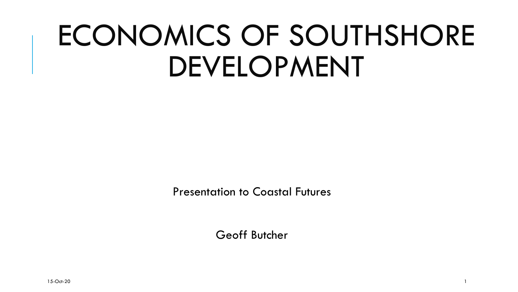## ECONOMICS OF SOUTHSHORE DEVELOPMENT

Presentation to Coastal Futures

Geoff Butcher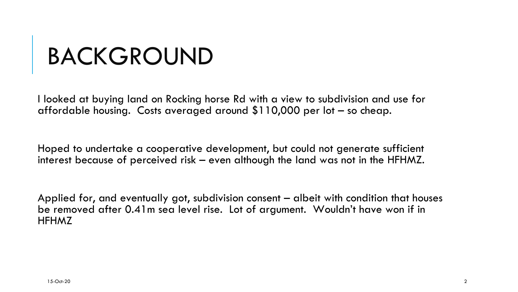#### BACKGROUND

I looked at buying land on Rocking horse Rd with a view to subdivision and use for affordable housing. Costs averaged around \$110,000 per lot – so cheap.

Hoped to undertake a cooperative development, but could not generate sufficient interest because of perceived risk – even although the land was not in the HFHMZ.

Applied for, and eventually got, subdivision consent – albeit with condition that houses be removed after 0.41m sea level rise. Lot of argument. Wouldn't have won if in HFHMZ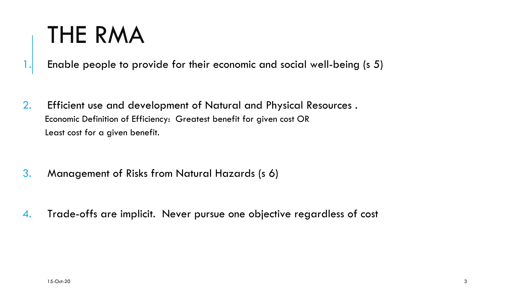#### THE RMA

1. Enable people to provide for their economic and social well-being (s 5)

2. Efficient use and development of Natural and Physical Resources . Economic Definition of Efficiency: Greatest benefit for given cost OR Least cost for a given benefit.

- 3. Management of Risks from Natural Hazards (s 6)
- 4. Trade-offs are implicit. Never pursue one objective regardless of cost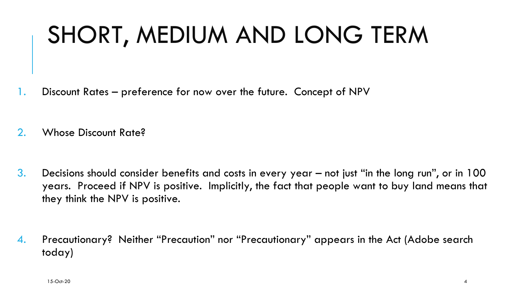## SHORT, MEDIUM AND LONG TERM

- 1. Discount Rates preference for now over the future. Concept of NPV
- 2. Whose Discount Rate?
- 3. Decisions should consider benefits and costs in every year not just "in the long run", or in 100 years. Proceed if NPV is positive. Implicitly, the fact that people want to buy land means that they think the NPV is positive.
- 4. Precautionary? Neither "Precaution" nor "Precautionary" appears in the Act (Adobe search today)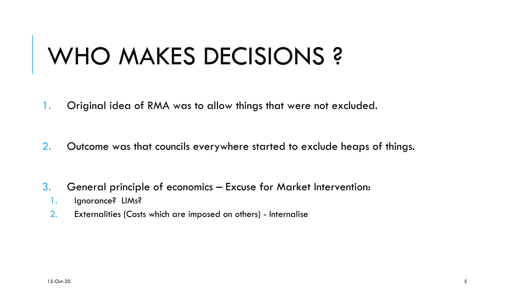### WHO MAKES DECISIONS ?

1. Original idea of RMA was to allow things that were not excluded.

- 2. Outcome was that councils everywhere started to exclude heaps of things.
- 3. General principle of economics Excuse for Market Intervention:
	- 1. Ignorance? LIMs?
	- 2. Externalities (Costs which are imposed on others) Internalise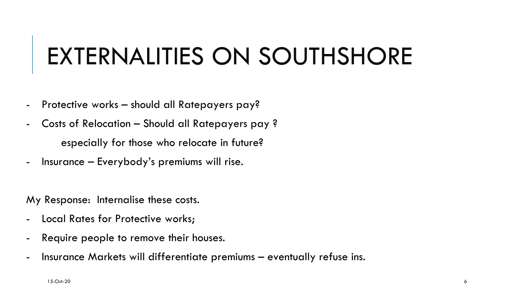## EXTERNALITIES ON SOUTHSHORE

- Protective works should all Ratepayers pay?
- Costs of Relocation Should all Ratepayers pay ? especially for those who relocate in future?
- Insurance Everybody's premiums will rise.

My Response: Internalise these costs.

- Local Rates for Protective works;
- Require people to remove their houses.
- Insurance Markets will differentiate premiums eventually refuse ins.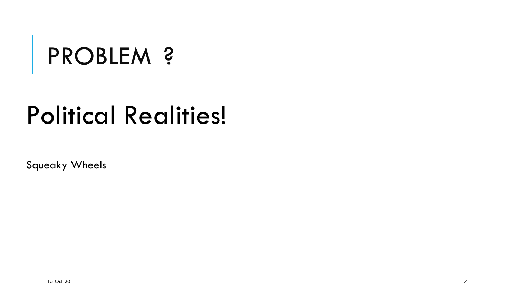## PROBLEM ?

#### Political Realities!

Squeaky Wheels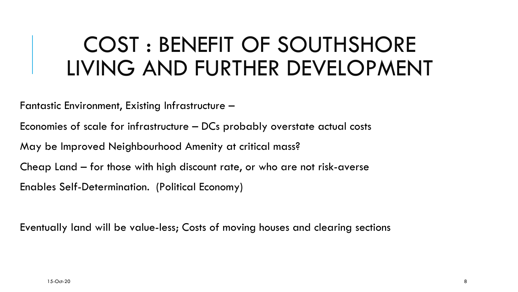#### COST : BENEFIT OF SOUTHSHORE LIVING AND FURTHER DEVELOPMENT

Fantastic Environment, Existing Infrastructure –

Economies of scale for infrastructure – DCs probably overstate actual costs

May be Improved Neighbourhood Amenity at critical mass?

Cheap Land – for those with high discount rate, or who are not risk-averse

Enables Self-Determination. (Political Economy)

Eventually land will be value-less; Costs of moving houses and clearing sections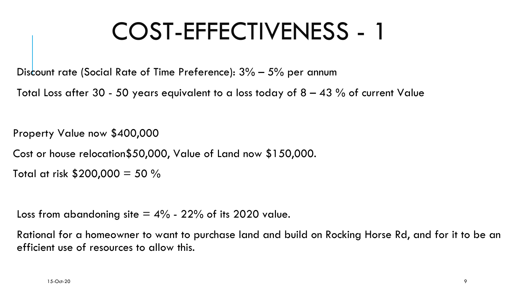Discount rate (Social Rate of Time Preference): 3% – 5% per annum

Total Loss after 30 - 50 years equivalent to a loss today of  $8 - 43$  % of current Value

Property Value now \$400,000

Cost or house relocation\$50,000, Value of Land now \$150,000.

Total at risk  $$200,000 = 50 \%$ 

Loss from abandoning site  $= 4\%$  - 22% of its 2020 value.

Rational for a homeowner to want to purchase land and build on Rocking Horse Rd, and for it to be an efficient use of resources to allow this.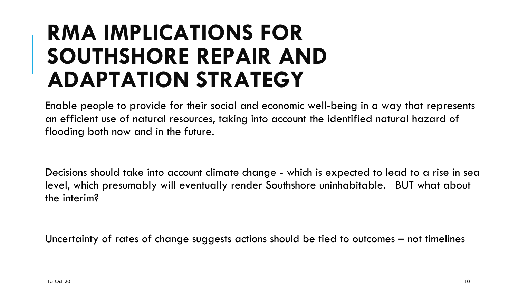#### **RMA IMPLICATIONS FOR SOUTHSHORE REPAIR AND ADAPTATION STRATEGY**

Enable people to provide for their social and economic well-being in a way that represents an efficient use of natural resources, taking into account the identified natural hazard of flooding both now and in the future.

Decisions should take into account climate change - which is expected to lead to a rise in sea level, which presumably will eventually render Southshore uninhabitable. BUT what about the interim?

Uncertainty of rates of change suggests actions should be tied to outcomes – not timelines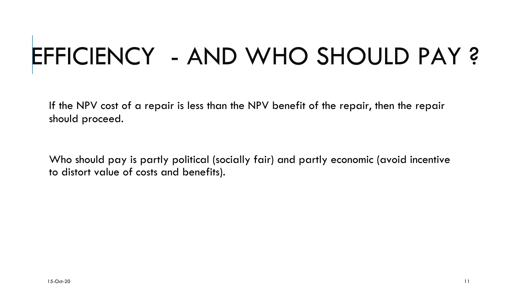# EFFICIENCY - AND WHO SHOULD PAY?

If the NPV cost of a repair is less than the NPV benefit of the repair, then the repair should proceed.

Who should pay is partly political (socially fair) and partly economic (avoid incentive to distort value of costs and benefits).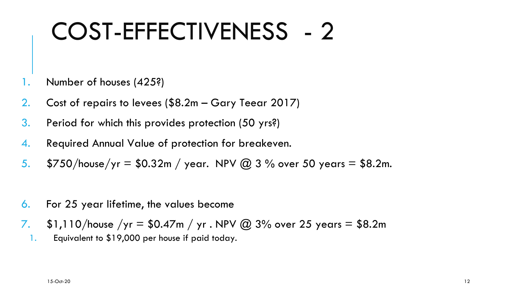- Number of houses (425?)
- 2. Cost of repairs to levees (\$8.2m Gary Teear 2017)
- 3. Period for which this provides protection (50 yrs?)
- 4. Required Annual Value of protection for breakeven.
- 5.  $$750/house/yr = $0.32m / year. NPV @ 3 % over 50 years = $8.2m.$
- 6. For 25 year lifetime, the values become
- 7.  $$1,110/house / yr = $0.47m / yr$ . NPV  $@3\%$  over 25 years = \$8.2m
- 1. Equivalent to \$19,000 per house if paid today.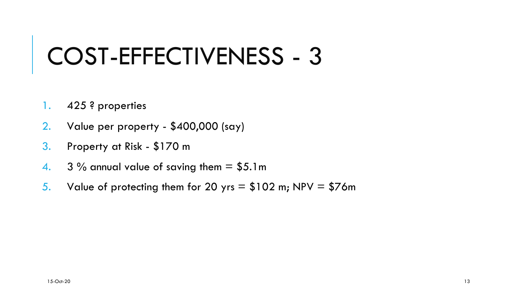- 1. 425 ? properties
- 2. Value per property \$400,000 (say)
- 3. Property at Risk \$170 m
- 4. 3 % annual value of saving them  $= $5.1$ m
- 5. Value of protecting them for 20 yrs  $= $102$  m; NPV  $= $76$ m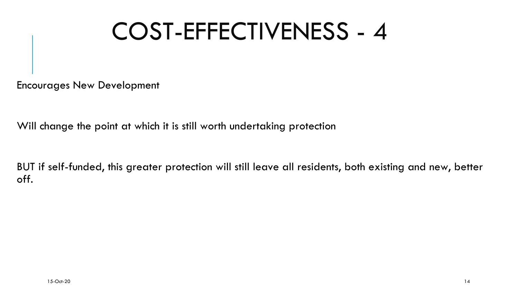Encourages New Development

Will change the point at which it is still worth undertaking protection

BUT if self-funded, this greater protection will still leave all residents, both existing and new, better off.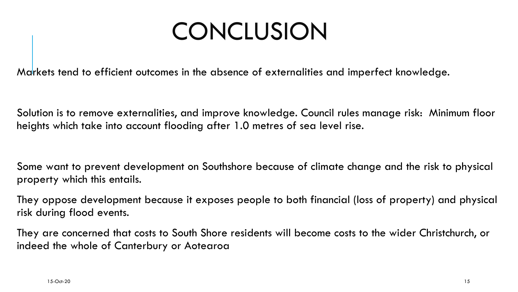#### **CONCLUSION**

Markets tend to efficient outcomes in the absence of externalities and imperfect knowledge.

Solution is to remove externalities, and improve knowledge. Council rules manage risk: Minimum floor heights which take into account flooding after 1.0 metres of sea level rise.

Some want to prevent development on Southshore because of climate change and the risk to physical property which this entails.

They oppose development because it exposes people to both financial (loss of property) and physical risk during flood events.

They are concerned that costs to South Shore residents will become costs to the wider Christchurch, or indeed the whole of Canterbury or Aotearoa